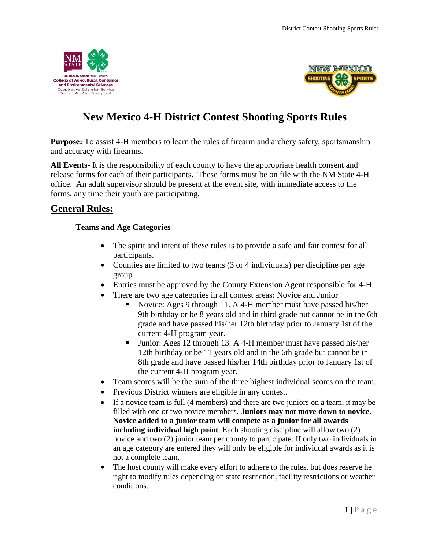<span id="page-0-0"></span>



# **New Mexico 4-H District Contest Shooting Sports Rules**

**Purpose:** To assist 4-H members to learn the rules of firearm and archery safety, sportsmanship and accuracy with firearms.

**All Events-** It is the responsibility of each county to have the appropriate health consent and release forms for each of their participants. These forms must be on file with the NM State 4-H office. An adult supervisor should be present at the event site, with immediate access to the forms, any time their youth are participating.

### <span id="page-0-2"></span><span id="page-0-1"></span>**General Rules:**

### **Teams and Age Categories**

- The spirit and intent of these rules is to provide a safe and fair contest for all participants.
- Counties are limited to two teams (3 or 4 individuals) per discipline per age group
- Entries must be approved by the County Extension Agent responsible for 4-H.
- There are two age categories in all contest areas: Novice and Junior
	- Novice: Ages 9 through 11. A 4-H member must have passed his/her 9th birthday or be 8 years old and in third grade but cannot be in the 6th grade and have passed his/her 12th birthday prior to January 1st of the current 4-H program year.
	- Junior: Ages 12 through 13. A 4-H member must have passed his/her 12th birthday or be 11 years old and in the 6th grade but cannot be in 8th grade and have passed his/her 14th birthday prior to January 1st of the current 4-H program year.
- Team scores will be the sum of the three highest individual scores on the team.
- Previous District winners are eligible in any contest.
- If a novice team is full (4 members) and there are two juniors on a team, it may be filled with one or two novice members. **Juniors may not move down to novice. Novice added to a junior team will compete as a junior for all awards including individual high point**. Each shooting discipline will allow two (2) novice and two (2) junior team per county to participate. If only two individuals in an age category are entered they will only be eligible for individual awards as it is not a complete team.
- The host county will make every effort to adhere to the rules, but does reserve he right to modify rules depending on state restriction, facility restrictions or weather conditions.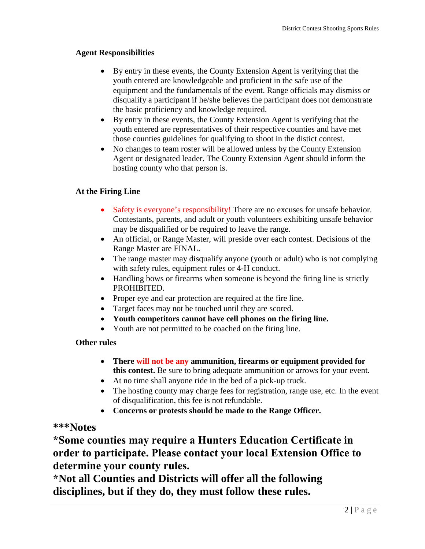### <span id="page-1-0"></span>**Agent Responsibilities**

- By entry in these events, the County Extension Agent is verifying that the youth entered are knowledgeable and proficient in the safe use of the equipment and the fundamentals of the event. Range officials may dismiss or disqualify a participant if he/she believes the participant does not demonstrate the basic proficiency and knowledge required.
- By entry in these events, the County Extension Agent is verifying that the youth entered are representatives of their respective counties and have met those counties guidelines for qualifying to shoot in the distict contest.
- No changes to team roster will be allowed unless by the County Extension Agent or designated leader. The County Extension Agent should inform the hosting county who that person is.

### <span id="page-1-1"></span>**At the Firing Line**

- Safety is everyone's responsibility! There are no excuses for unsafe behavior. Contestants, parents, and adult or youth volunteers exhibiting unsafe behavior may be disqualified or be required to leave the range.
- An official, or Range Master, will preside over each contest. Decisions of the Range Master are FINAL.
- The range master may disqualify anyone (youth or adult) who is not complying with safety rules, equipment rules or 4-H conduct.
- Handling bows or firearms when someone is beyond the firing line is strictly PROHIBITED.
- Proper eye and ear protection are required at the fire line.
- Target faces may not be touched until they are scored.
- **Youth competitors cannot have cell phones on the firing line.**
- Youth are not permitted to be coached on the firing line.

#### <span id="page-1-2"></span>**Other rules**

- **There will not be any ammunition, firearms or equipment provided for this contest.** Be sure to bring adequate ammunition or arrows for your event.
- At no time shall anyone ride in the bed of a pick-up truck.
- The hosting county may charge fees for registration, range use, etc. In the event of disqualification, this fee is not refundable.
- **Concerns or protests should be made to the Range Officer.**

### **\*\*\*Notes**

**\*Some counties may require a Hunters Education Certificate in order to participate. Please contact your local Extension Office to determine your county rules.**

**\*Not all Counties and Districts will offer all the following disciplines, but if they do, they must follow these rules.**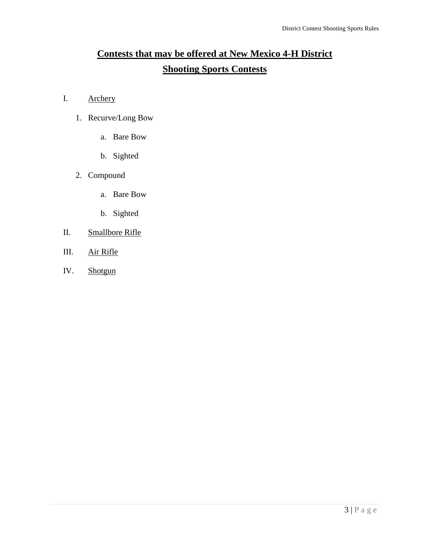# <span id="page-2-0"></span>**Contests that may be offered at New Mexico 4-H District Shooting Sports Contests**

- I. Archery
	- 1. Recurve/Long Bow
		- a. Bare Bow
		- b. Sighted
	- 2. Compound
		- a. Bare Bow
		- b. Sighted
- II. Smallbore Rifle
- III. Air Rifle
- IV. Shotgun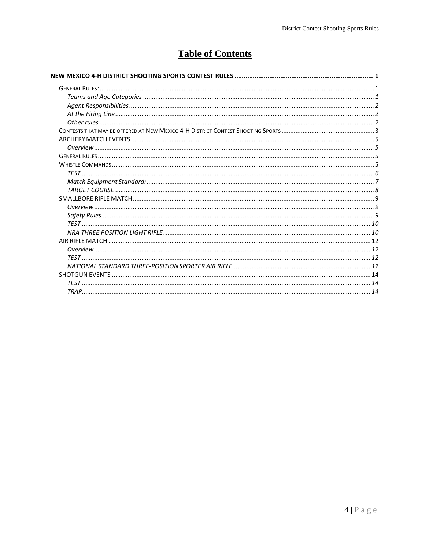# **Table of Contents**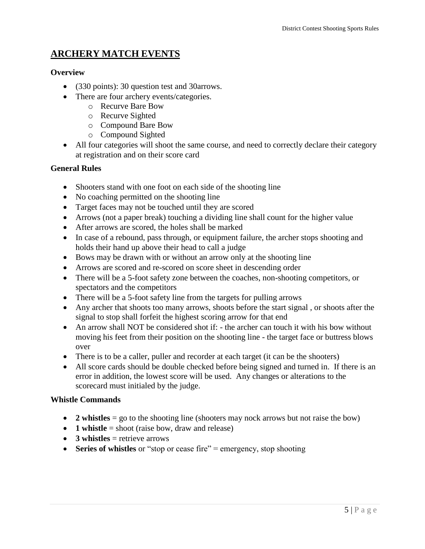## <span id="page-4-0"></span>**ARCHERY MATCH EVENTS**

### <span id="page-4-1"></span>**Overview**

- (330 points): 30 question test and 30arrows.
- There are four archery events/categories.
	- o Recurve Bare Bow
	- o Recurve Sighted
	- o Compound Bare Bow
	- o Compound Sighted
- All four categories will shoot the same course, and need to correctly declare their category at registration and on their score card

#### <span id="page-4-2"></span>**General Rules**

- Shooters stand with one foot on each side of the shooting line
- No coaching permitted on the shooting line
- Target faces may not be touched until they are scored
- Arrows (not a paper break) touching a dividing line shall count for the higher value
- After arrows are scored, the holes shall be marked
- In case of a rebound, pass through, or equipment failure, the archer stops shooting and holds their hand up above their head to call a judge
- Bows may be drawn with or without an arrow only at the shooting line
- Arrows are scored and re-scored on score sheet in descending order
- There will be a 5-foot safety zone between the coaches, non-shooting competitors, or spectators and the competitors
- There will be a 5-foot safety line from the targets for pulling arrows
- Any archer that shoots too many arrows, shoots before the start signal, or shoots after the signal to stop shall forfeit the highest scoring arrow for that end
- An arrow shall NOT be considered shot if: the archer can touch it with his bow without moving his feet from their position on the shooting line - the target face or buttress blows over
- There is to be a caller, puller and recorder at each target (it can be the shooters)
- All score cards should be double checked before being signed and turned in. If there is an error in addition, the lowest score will be used. Any changes or alterations to the scorecard must initialed by the judge.

#### <span id="page-4-3"></span>**Whistle Commands**

- 2 whistles = go to the shooting line (shooters may nock arrows but not raise the bow)
- **1 whistle** = shoot (raise bow, draw and release)
- **3 whistles** = retrieve arrows
- **Series of whistles** or "stop or cease fire" = emergency, stop shooting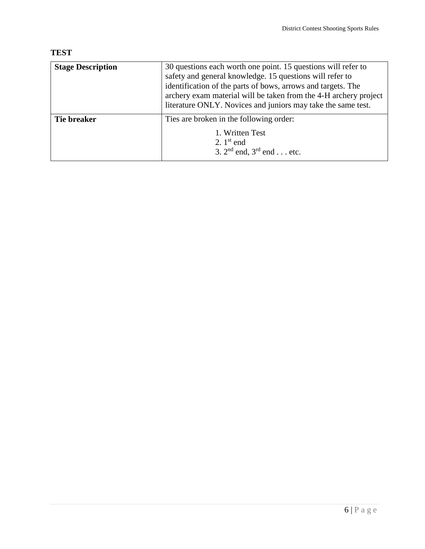## <span id="page-5-0"></span>**TEST**

| <b>Stage Description</b> | 30 questions each worth one point. 15 questions will refer to<br>safety and general knowledge. 15 questions will refer to<br>identification of the parts of bows, arrows and targets. The<br>archery exam material will be taken from the 4-H archery project<br>literature ONLY. Novices and juniors may take the same test. |
|--------------------------|-------------------------------------------------------------------------------------------------------------------------------------------------------------------------------------------------------------------------------------------------------------------------------------------------------------------------------|
| Tie breaker              | Ties are broken in the following order:<br>1. Written Test<br>2. $1st$ end<br>3. $2^{nd}$ end, $3^{rd}$ end etc.                                                                                                                                                                                                              |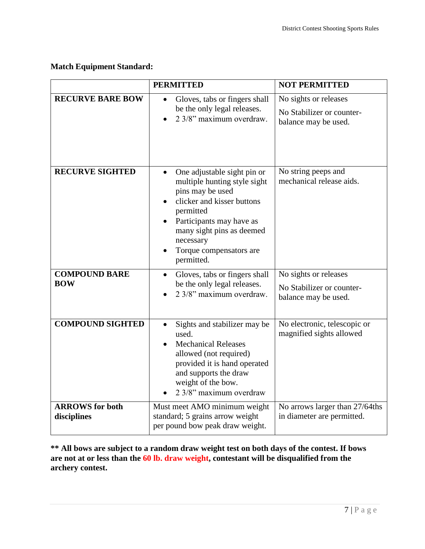### <span id="page-6-0"></span>**Match Equipment Standard:**

|                                       | <b>PERMITTED</b>                                                                                                                                                                                                                                       | <b>NOT PERMITTED</b>                                                       |
|---------------------------------------|--------------------------------------------------------------------------------------------------------------------------------------------------------------------------------------------------------------------------------------------------------|----------------------------------------------------------------------------|
| <b>RECURVE BARE BOW</b>               | Gloves, tabs or fingers shall<br>be the only legal releases.<br>2 3/8" maximum overdraw.                                                                                                                                                               | No sights or releases<br>No Stabilizer or counter-<br>balance may be used. |
| <b>RECURVE SIGHTED</b>                | One adjustable sight pin or<br>$\bullet$<br>multiple hunting style sight<br>pins may be used<br>clicker and kisser buttons<br>permitted<br>Participants may have as<br>many sight pins as deemed<br>necessary<br>Torque compensators are<br>permitted. | No string peeps and<br>mechanical release aids.                            |
| <b>COMPOUND BARE</b><br><b>BOW</b>    | Gloves, tabs or fingers shall<br>$\bullet$<br>be the only legal releases.<br>2 3/8" maximum overdraw.                                                                                                                                                  | No sights or releases<br>No Stabilizer or counter-<br>balance may be used. |
| <b>COMPOUND SIGHTED</b>               | Sights and stabilizer may be<br>$\bullet$<br>used.<br><b>Mechanical Releases</b><br>allowed (not required)<br>provided it is hand operated<br>and supports the draw<br>weight of the bow.<br>2 3/8" maximum overdraw                                   | No electronic, telescopic or<br>magnified sights allowed                   |
| <b>ARROWS</b> for both<br>disciplines | Must meet AMO minimum weight<br>standard; 5 grains arrow weight<br>per pound bow peak draw weight.                                                                                                                                                     | No arrows larger than 27/64ths<br>in diameter are permitted.               |

**\*\* All bows are subject to a random draw weight test on both days of the contest. If bows are not at or less than the 60 lb. draw weight, contestant will be disqualified from the archery contest.**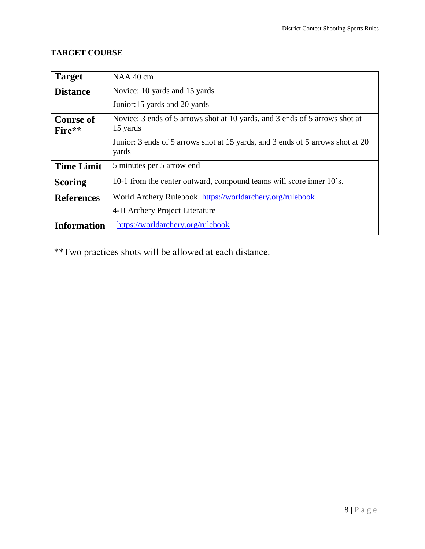### <span id="page-7-0"></span>**TARGET COURSE**

| <b>Target</b>      | NAA 40 cm                                                                               |
|--------------------|-----------------------------------------------------------------------------------------|
| <b>Distance</b>    | Novice: 10 yards and 15 yards                                                           |
|                    | Junior:15 yards and 20 yards                                                            |
| <b>Course of</b>   | Novice: 3 ends of 5 arrows shot at 10 yards, and 3 ends of 5 arrows shot at             |
| Fire**             | 15 yards                                                                                |
|                    | Junior: 3 ends of 5 arrows shot at 15 yards, and 3 ends of 5 arrows shot at 20<br>yards |
| <b>Time Limit</b>  | 5 minutes per 5 arrow end                                                               |
| <b>Scoring</b>     | 10-1 from the center outward, compound teams will score inner 10's.                     |
| <b>References</b>  | World Archery Rulebook. https://worldarchery.org/rulebook                               |
|                    | 4-H Archery Project Literature                                                          |
| <b>Information</b> | https://worldarchery.org/rulebook                                                       |

\*\*Two practices shots will be allowed at each distance.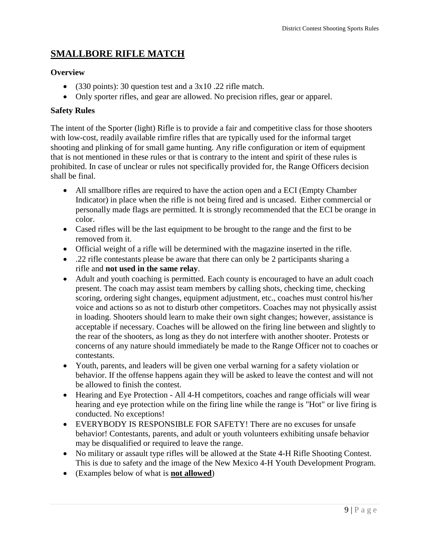# <span id="page-8-0"></span>**SMALLBORE RIFLE MATCH**

### <span id="page-8-1"></span>**Overview**

- (330 points): 30 question test and a 3x10 .22 rifle match.
- Only sporter rifles, and gear are allowed. No precision rifles, gear or apparel.

### <span id="page-8-2"></span>**Safety Rules**

The intent of the Sporter (light) Rifle is to provide a fair and competitive class for those shooters with low-cost, readily available rimfire rifles that are typically used for the informal target shooting and plinking of for small game hunting. Any rifle configuration or item of equipment that is not mentioned in these rules or that is contrary to the intent and spirit of these rules is prohibited. In case of unclear or rules not specifically provided for, the Range Officers decision shall be final.

- All smallbore rifles are required to have the action open and a ECI (Empty Chamber Indicator) in place when the rifle is not being fired and is uncased. Either commercial or personally made flags are permitted. It is strongly recommended that the ECI be orange in color.
- Cased rifles will be the last equipment to be brought to the range and the first to be removed from it.
- Official weight of a rifle will be determined with the magazine inserted in the rifle.
- .22 rifle contestants please be aware that there can only be 2 participants sharing a rifle and **not used in the same relay**.
- Adult and youth coaching is permitted. Each county is encouraged to have an adult coach present. The coach may assist team members by calling shots, checking time, checking scoring, ordering sight changes, equipment adjustment, etc., coaches must control his/her voice and actions so as not to disturb other competitors. Coaches may not physically assist in loading. Shooters should learn to make their own sight changes; however, assistance is acceptable if necessary. Coaches will be allowed on the firing line between and slightly to the rear of the shooters, as long as they do not interfere with another shooter. Protests or concerns of any nature should immediately be made to the Range Officer not to coaches or contestants.
- Youth, parents, and leaders will be given one verbal warning for a safety violation or behavior. If the offense happens again they will be asked to leave the contest and will not be allowed to finish the contest.
- Hearing and Eye Protection All 4-H competitors, coaches and range officials will wear hearing and eye protection while on the firing line while the range is "Hot" or live firing is conducted. No exceptions!
- EVERYBODY IS RESPONSIBLE FOR SAFETY! There are no excuses for unsafe behavior! Contestants, parents, and adult or youth volunteers exhibiting unsafe behavior may be disqualified or required to leave the range.
- No military or assault type rifles will be allowed at the State 4-H Rifle Shooting Contest. This is due to safety and the image of the New Mexico 4-H Youth Development Program.
- (Examples below of what is **not allowed**)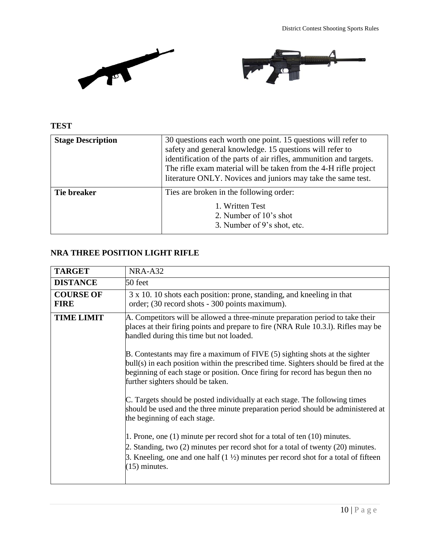

### <span id="page-9-0"></span>**TEST**

| <b>Stage Description</b> | 30 questions each worth one point. 15 questions will refer to<br>safety and general knowledge. 15 questions will refer to<br>identification of the parts of air rifles, ammunition and targets.<br>The rifle exam material will be taken from the 4-H rifle project<br>literature ONLY. Novices and juniors may take the same test. |
|--------------------------|-------------------------------------------------------------------------------------------------------------------------------------------------------------------------------------------------------------------------------------------------------------------------------------------------------------------------------------|
| Tie breaker              | Ties are broken in the following order:<br>1. Written Test<br>2. Number of 10's shot<br>3. Number of 9's shot, etc.                                                                                                                                                                                                                 |

### <span id="page-9-1"></span>**NRA THREE POSITION LIGHT RIFLE**

| <b>TARGET</b>                   | NRA-A32                                                                                                                                                                                                                                                                                   |
|---------------------------------|-------------------------------------------------------------------------------------------------------------------------------------------------------------------------------------------------------------------------------------------------------------------------------------------|
| <b>DISTANCE</b>                 | 50 feet                                                                                                                                                                                                                                                                                   |
| <b>COURSE OF</b><br><b>FIRE</b> | 3 x 10. 10 shots each position: prone, standing, and kneeling in that<br>order; (30 record shots - 300 points maximum).                                                                                                                                                                   |
| <b>TIME LIMIT</b>               | A. Competitors will be allowed a three-minute preparation period to take their<br>places at their firing points and prepare to fire (NRA Rule 10.3.1). Rifles may be<br>handled during this time but not loaded.                                                                          |
|                                 | B. Contestants may fire a maximum of FIVE (5) sighting shots at the sighter<br>bull(s) in each position within the prescribed time. Sighters should be fired at the<br>beginning of each stage or position. Once firing for record has begun then no<br>further sighters should be taken. |
|                                 | C. Targets should be posted individually at each stage. The following times<br>should be used and the three minute preparation period should be administered at<br>the beginning of each stage.                                                                                           |
|                                 | 1. Prone, one (1) minute per record shot for a total of ten (10) minutes.<br>2. Standing, two (2) minutes per record shot for a total of twenty (20) minutes.<br>3. Kneeling, one and one half $(1 \frac{1}{2})$ minutes per record shot for a total of fifteen<br>$(15)$ minutes.        |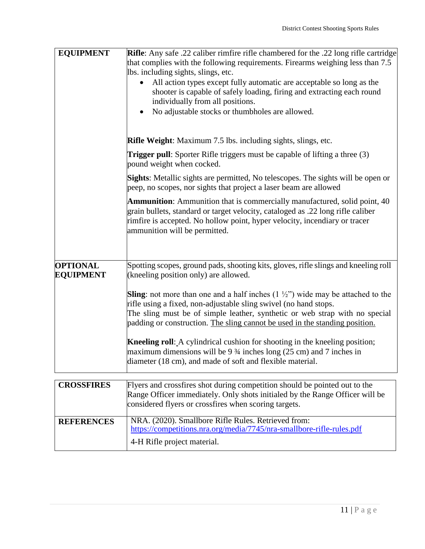| <b>Sights:</b> Metallic sights are permitted, No telescopes. The sights will be open or                                                                                         |
|---------------------------------------------------------------------------------------------------------------------------------------------------------------------------------|
| Ammunition: Ammunition that is commercially manufactured, solid point, 40                                                                                                       |
| Spotting scopes, ground pads, shooting kits, gloves, rifle slings and kneeling roll                                                                                             |
| <b>Sling</b> : not more than one and a half inches $(1 \frac{1}{2})$ wide may be attached to the<br>The sling must be of simple leather, synthetic or web strap with no special |
|                                                                                                                                                                                 |
| Range Officer immediately. Only shots initialed by the Range Officer will be                                                                                                    |
|                                                                                                                                                                                 |
|                                                                                                                                                                                 |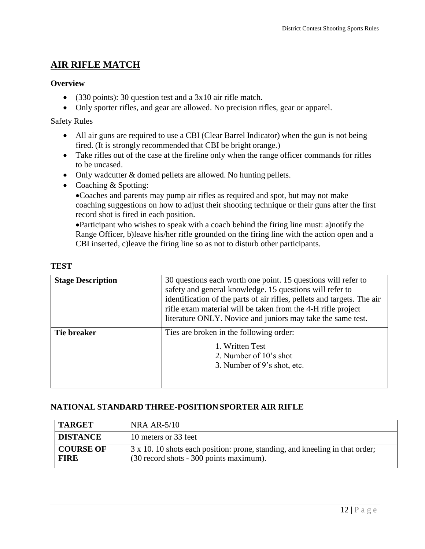# <span id="page-11-0"></span>**AIR RIFLE MATCH**

### <span id="page-11-1"></span>**Overview**

- (330 points): 30 question test and a 3x10 air rifle match.
- Only sporter rifles, and gear are allowed. No precision rifles, gear or apparel.

### Safety Rules

- All air guns are required to use a CBI (Clear Barrel Indicator) when the gun is not being fired. (It is strongly recommended that CBI be bright orange.)
- Take rifles out of the case at the fireline only when the range officer commands for rifles to be uncased.
- Only wadcutter & domed pellets are allowed. No hunting pellets.
- Coaching & Spotting:

Coaches and parents may pump air rifles as required and spot, but may not make coaching suggestions on how to adjust their shooting technique or their guns after the first record shot is fired in each position.

Participant who wishes to speak with a coach behind the firing line must: a)notify the Range Officer, b)leave his/her rifle grounded on the firing line with the action open and a CBI inserted, c)leave the firing line so as not to disturb other participants.

### <span id="page-11-2"></span>**TEST**

| <b>Stage Description</b> | 30 questions each worth one point. 15 questions will refer to<br>safety and general knowledge. 15 questions will refer to<br>identification of the parts of air rifles, pellets and targets. The air<br>rifle exam material will be taken from the 4-H rifle project<br>literature ONLY. Novice and juniors may take the same test. |
|--------------------------|-------------------------------------------------------------------------------------------------------------------------------------------------------------------------------------------------------------------------------------------------------------------------------------------------------------------------------------|
| Tie breaker              | Ties are broken in the following order:<br>1. Written Test<br>2. Number of 10's shot<br>3. Number of 9's shot, etc.                                                                                                                                                                                                                 |

### <span id="page-11-3"></span>**NATIONAL STANDARD THREE-POSITION SPORTER AIR RIFLE**

| <b>TARGET</b>                   | NRA AR- $5/10$                                                                                                          |
|---------------------------------|-------------------------------------------------------------------------------------------------------------------------|
| <b>DISTANCE</b>                 | 10 meters or 33 feet                                                                                                    |
| <b>COURSE OF</b><br><b>FIRE</b> | 3 x 10. 10 shots each position: prone, standing, and kneeling in that order;<br>(30 record shots - 300 points maximum). |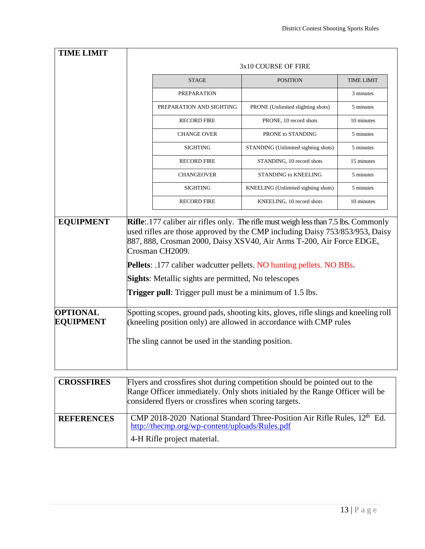| <b>TIME LIMIT</b>                   |                                                                                                                                                                                                                                                                                                                                                                                                                                                                                           |                                     |                   |
|-------------------------------------|-------------------------------------------------------------------------------------------------------------------------------------------------------------------------------------------------------------------------------------------------------------------------------------------------------------------------------------------------------------------------------------------------------------------------------------------------------------------------------------------|-------------------------------------|-------------------|
|                                     |                                                                                                                                                                                                                                                                                                                                                                                                                                                                                           | 3x10 COURSE OF FIRE                 |                   |
|                                     | <b>STAGE</b>                                                                                                                                                                                                                                                                                                                                                                                                                                                                              | <b>POSITION</b>                     | <b>TIME LIMIT</b> |
|                                     | PREPARATION                                                                                                                                                                                                                                                                                                                                                                                                                                                                               |                                     | 3 minutes         |
|                                     | PREPARATION AND SIGHTING                                                                                                                                                                                                                                                                                                                                                                                                                                                                  | PRONE (Unlimited slighting shots)   | 5 minutes         |
|                                     | <b>RECORD FIRE</b>                                                                                                                                                                                                                                                                                                                                                                                                                                                                        | PRONE, 10 record shots              | 10 minutes        |
|                                     | <b>CHANGE OVER</b>                                                                                                                                                                                                                                                                                                                                                                                                                                                                        | PRONE to STANDING                   | 5 minutes         |
|                                     | <b>SIGHTING</b>                                                                                                                                                                                                                                                                                                                                                                                                                                                                           | STANDING (Unlimited sighting shots) | 5 minutes         |
|                                     | <b>RECORD FIRE</b>                                                                                                                                                                                                                                                                                                                                                                                                                                                                        | STANDING, 10 record shots           | 15 minutes        |
|                                     | <b>CHANGEOVER</b>                                                                                                                                                                                                                                                                                                                                                                                                                                                                         | <b>STANDING to KNEELING</b>         | 5 minutes         |
|                                     | <b>SIGHTING</b>                                                                                                                                                                                                                                                                                                                                                                                                                                                                           | KNEELING (Unlimited sighting shots) | 5 minutes         |
|                                     | <b>RECORD FIRE</b>                                                                                                                                                                                                                                                                                                                                                                                                                                                                        | KNEELING, 10 record shots           | 10 minutes        |
| <b>EQUIPMENT</b>                    | <b>Rifle</b> : 177 caliber air rifles only. The rifle must weigh less than 7.5 lbs. Commonly<br>used rifles are those approved by the CMP including Daisy 753/853/953, Daisy<br>887, 888, Crosman 2000, Daisy XSV40, Air Arms T-200, Air Force EDGE,<br>Crosman CH2009.<br><b>Pellets</b> : .177 caliber wadcutter pellets. NO hunting pellets. NO BBs.<br><b>Sights:</b> Metallic sights are permitted, No telescopes<br><b>Trigger pull:</b> Trigger pull must be a minimum of 1.5 lbs. |                                     |                   |
| <b>OPTIONAL</b><br><b>EQUIPMENT</b> | Spotting scopes, ground pads, shooting kits, gloves, rifle slings and kneeling roll<br>(kneeling position only) are allowed in accordance with CMP rules<br>The sling cannot be used in the standing position.                                                                                                                                                                                                                                                                            |                                     |                   |
| <b>CROSSFIRES</b>                   | Flyers and crossfires shot during competition should be pointed out to the                                                                                                                                                                                                                                                                                                                                                                                                                |                                     |                   |
|                                     | Range Officer immediately. Only shots initialed by the Range Officer will be<br>considered flyers or crossfires when scoring targets.                                                                                                                                                                                                                                                                                                                                                     |                                     |                   |
| <b>REFERENCES</b>                   | CMP 2018-2020 National Standard Three-Position Air Rifle Rules, 12 <sup>th</sup> Ed.<br>http://thecmp.org/wp-content/uploads/Rules.pdf                                                                                                                                                                                                                                                                                                                                                    |                                     |                   |
|                                     | 4-H Rifle project material.                                                                                                                                                                                                                                                                                                                                                                                                                                                               |                                     |                   |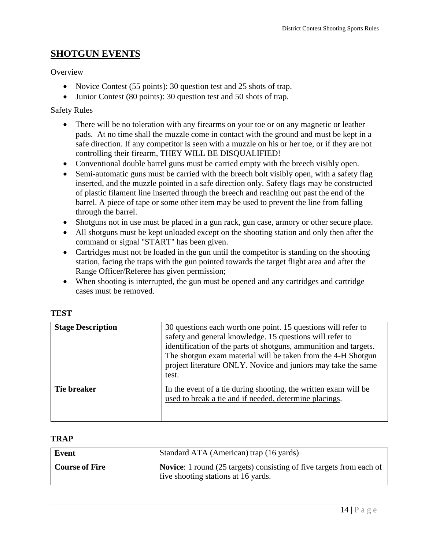## <span id="page-13-0"></span>**SHOTGUN EVENTS**

**Overview** 

- Novice Contest (55 points): 30 question test and 25 shots of trap.
- Junior Contest (80 points): 30 question test and 50 shots of trap.

### Safety Rules

- There will be no toleration with any firearms on your toe or on any magnetic or leather pads. At no time shall the muzzle come in contact with the ground and must be kept in a safe direction. If any competitor is seen with a muzzle on his or her toe, or if they are not controlling their firearm, THEY WILL BE DISQUALIFIED!
- Conventional double barrel guns must be carried empty with the breech visibly open.
- Semi-automatic guns must be carried with the breech bolt visibly open, with a safety flag inserted, and the muzzle pointed in a safe direction only. Safety flags may be constructed of plastic filament line inserted through the breech and reaching out past the end of the barrel. A piece of tape or some other item may be used to prevent the line from falling through the barrel.
- Shotguns not in use must be placed in a gun rack, gun case, armory or other secure place.
- All shotguns must be kept unloaded except on the shooting station and only then after the command or signal "START" has been given.
- Cartridges must not be loaded in the gun until the competitor is standing on the shooting station, facing the traps with the gun pointed towards the target flight area and after the Range Officer/Referee has given permission;
- When shooting is interrupted, the gun must be opened and any cartridges and cartridge cases must be removed.

| <b>Stage Description</b> | 30 questions each worth one point. 15 questions will refer to<br>safety and general knowledge. 15 questions will refer to<br>identification of the parts of shotguns, ammunition and targets.<br>The shotgun exam material will be taken from the 4-H Shotgun<br>project literature ONLY. Novice and juniors may take the same<br>test. |
|--------------------------|-----------------------------------------------------------------------------------------------------------------------------------------------------------------------------------------------------------------------------------------------------------------------------------------------------------------------------------------|
| Tie breaker              | In the event of a tie during shooting, the written exam will be<br>used to break a tie and if needed, determine placings.                                                                                                                                                                                                               |

#### <span id="page-13-1"></span>**TEST**

#### <span id="page-13-2"></span>**TRAP**

| Event                 | Standard ATA (American) trap (16 yards)                                                                            |
|-----------------------|--------------------------------------------------------------------------------------------------------------------|
| <b>Course of Fire</b> | <b>Novice:</b> 1 round (25 targets) consisting of five targets from each of<br>five shooting stations at 16 yards. |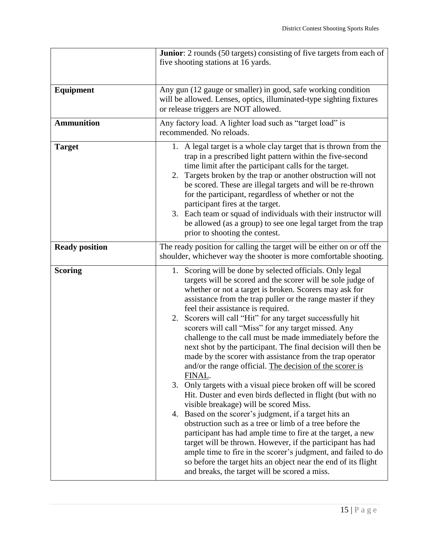|                       | <b>Junior</b> : 2 rounds (50 targets) consisting of five targets from each of<br>five shooting stations at 16 yards.                                                                                                                                                                                                                                                                                                                                                                                                                                                                                                                                                                                                                                                                                                                                                                                                                                                                                                                                                                                                                                                                                                                                                                             |
|-----------------------|--------------------------------------------------------------------------------------------------------------------------------------------------------------------------------------------------------------------------------------------------------------------------------------------------------------------------------------------------------------------------------------------------------------------------------------------------------------------------------------------------------------------------------------------------------------------------------------------------------------------------------------------------------------------------------------------------------------------------------------------------------------------------------------------------------------------------------------------------------------------------------------------------------------------------------------------------------------------------------------------------------------------------------------------------------------------------------------------------------------------------------------------------------------------------------------------------------------------------------------------------------------------------------------------------|
| <b>Equipment</b>      | Any gun (12 gauge or smaller) in good, safe working condition<br>will be allowed. Lenses, optics, illuminated-type sighting fixtures<br>or release triggers are NOT allowed.                                                                                                                                                                                                                                                                                                                                                                                                                                                                                                                                                                                                                                                                                                                                                                                                                                                                                                                                                                                                                                                                                                                     |
| <b>Ammunition</b>     | Any factory load. A lighter load such as "target load" is<br>recommended. No reloads.                                                                                                                                                                                                                                                                                                                                                                                                                                                                                                                                                                                                                                                                                                                                                                                                                                                                                                                                                                                                                                                                                                                                                                                                            |
| <b>Target</b>         | 1. A legal target is a whole clay target that is thrown from the<br>trap in a prescribed light pattern within the five-second<br>time limit after the participant calls for the target.<br>2. Targets broken by the trap or another obstruction will not<br>be scored. These are illegal targets and will be re-thrown<br>for the participant, regardless of whether or not the<br>participant fires at the target.<br>3. Each team or squad of individuals with their instructor will<br>be allowed (as a group) to see one legal target from the trap<br>prior to shooting the contest.                                                                                                                                                                                                                                                                                                                                                                                                                                                                                                                                                                                                                                                                                                        |
| <b>Ready position</b> | The ready position for calling the target will be either on or off the<br>shoulder, whichever way the shooter is more comfortable shooting.                                                                                                                                                                                                                                                                                                                                                                                                                                                                                                                                                                                                                                                                                                                                                                                                                                                                                                                                                                                                                                                                                                                                                      |
| <b>Scoring</b>        | 1. Scoring will be done by selected officials. Only legal<br>targets will be scored and the scorer will be sole judge of<br>whether or not a target is broken. Scorers may ask for<br>assistance from the trap puller or the range master if they<br>feel their assistance is required.<br>2. Scorers will call "Hit" for any target successfully hit<br>scorers will call "Miss" for any target missed. Any<br>challenge to the call must be made immediately before the<br>next shot by the participant. The final decision will then be<br>made by the scorer with assistance from the trap operator<br>and/or the range official. The decision of the scorer is<br>FINAL.<br>Only targets with a visual piece broken off will be scored<br>3.<br>Hit. Duster and even birds deflected in flight (but with no<br>visible breakage) will be scored Miss.<br>4. Based on the scorer's judgment, if a target hits an<br>obstruction such as a tree or limb of a tree before the<br>participant has had ample time to fire at the target, a new<br>target will be thrown. However, if the participant has had<br>ample time to fire in the scorer's judgment, and failed to do<br>so before the target hits an object near the end of its flight<br>and breaks, the target will be scored a miss. |